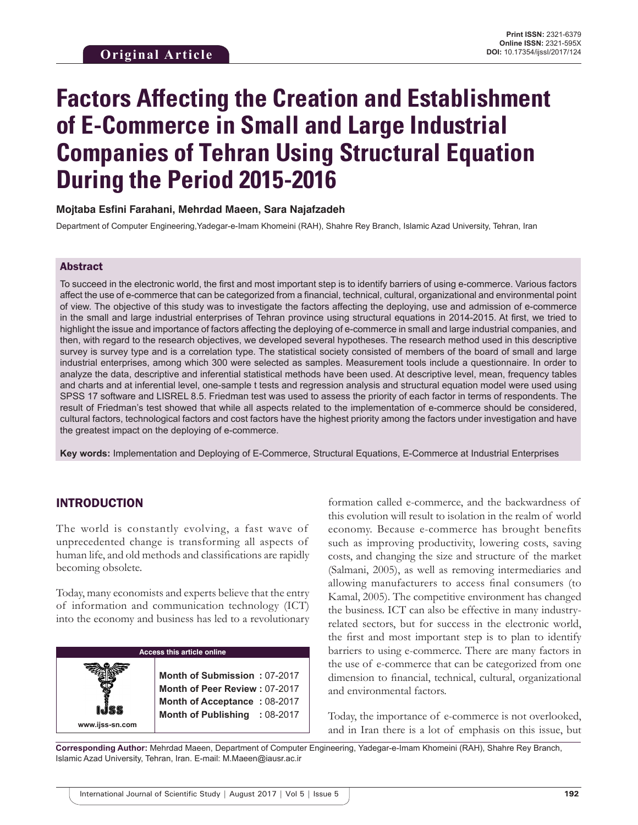# **Factors Affecting the Creation and Establishment of E-Commerce in Small and Large Industrial Companies of Tehran Using Structural Equation During the Period 2015-2016**

## **Mojtaba Esfini Farahani, Mehrdad Maeen, Sara Najafzadeh**

Department of Computer Engineering,Yadegar-e-Imam Khomeini (RAH), Shahre Rey Branch, Islamic Azad University, Tehran, Iran

#### Abstract

To succeed in the electronic world, the first and most important step is to identify barriers of using e-commerce. Various factors affect the use of e-commerce that can be categorized from a financial, technical, cultural, organizational and environmental point of view. The objective of this study was to investigate the factors affecting the deploying, use and admission of e-commerce in the small and large industrial enterprises of Tehran province using structural equations in 2014-2015. At first, we tried to highlight the issue and importance of factors affecting the deploying of e-commerce in small and large industrial companies, and then, with regard to the research objectives, we developed several hypotheses. The research method used in this descriptive survey is survey type and is a correlation type. The statistical society consisted of members of the board of small and large industrial enterprises, among which 300 were selected as samples. Measurement tools include a questionnaire. In order to analyze the data, descriptive and inferential statistical methods have been used. At descriptive level, mean, frequency tables and charts and at inferential level, one-sample t tests and regression analysis and structural equation model were used using SPSS 17 software and LISREL 8.5. Friedman test was used to assess the priority of each factor in terms of respondents. The result of Friedman's test showed that while all aspects related to the implementation of e-commerce should be considered, cultural factors, technological factors and cost factors have the highest priority among the factors under investigation and have the greatest impact on the deploying of e-commerce.

**Key words:** Implementation and Deploying of E-Commerce, Structural Equations, E-Commerce at Industrial Enterprises

# INTRODUCTION

**www.ijss-sn.com**

The world is constantly evolving, a fast wave of unprecedented change is transforming all aspects of human life, and old methods and classifications are rapidly becoming obsolete.

Today, many economists and experts believe that the entry of information and communication technology (ICT) into the economy and business has led to a revolutionary

## **Access this article online**

**Month of Submission :** 07-2017 **Month of Peer Review :** 07-2017 **Month of Acceptance :** 08-2017 **Month of Publishing :** 08-2017

formation called e-commerce, and the backwardness of this evolution will result to isolation in the realm of world economy. Because e-commerce has brought benefits such as improving productivity, lowering costs, saving costs, and changing the size and structure of the market (Salmani, 2005), as well as removing intermediaries and allowing manufacturers to access final consumers (to Kamal, 2005). The competitive environment has changed the business. ICT can also be effective in many industryrelated sectors, but for success in the electronic world, the first and most important step is to plan to identify barriers to using e-commerce. There are many factors in the use of e-commerce that can be categorized from one dimension to financial, technical, cultural, organizational and environmental factors.

Today, the importance of e-commerce is not overlooked, and in Iran there is a lot of emphasis on this issue, but

**Corresponding Author:** Mehrdad Maeen, Department of Computer Engineering, Yadegar-e-Imam Khomeini (RAH), Shahre Rey Branch, Islamic Azad University, Tehran, Iran. E-mail: M.Maeen@iausr.ac.ir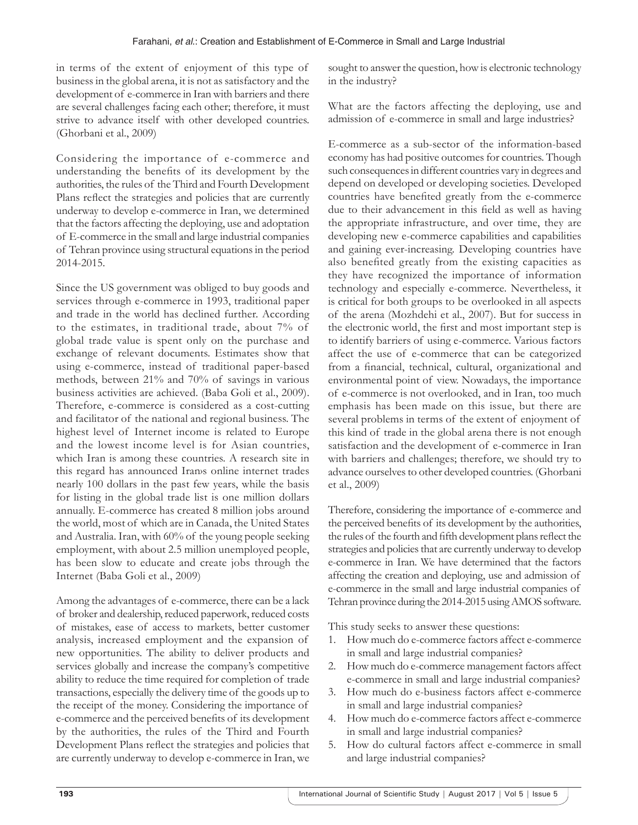in terms of the extent of enjoyment of this type of business in the global arena, it is not as satisfactory and the development of e-commerce in Iran with barriers and there are several challenges facing each other; therefore, it must strive to advance itself with other developed countries. (Ghorbani et al., 2009)

Considering the importance of e-commerce and understanding the benefits of its development by the authorities, the rules of the Third and Fourth Development Plans reflect the strategies and policies that are currently underway to develop e-commerce in Iran, we determined that the factors affecting the deploying, use and adoptation of E-commerce in the small and large industrial companies of Tehran province using structural equations in the period 2014-2015.

Since the US government was obliged to buy goods and services through e-commerce in 1993, traditional paper and trade in the world has declined further. According to the estimates, in traditional trade, about 7% of global trade value is spent only on the purchase and exchange of relevant documents. Estimates show that using e-commerce, instead of traditional paper-based methods, between 21% and 70% of savings in various business activities are achieved. (Baba Goli et al., 2009). Therefore, e-commerce is considered as a cost-cutting and facilitator of the national and regional business. The highest level of Internet income is related to Europe and the lowest income level is for Asian countries, which Iran is among these countries. A research site in this regard has announced Iranys online internet trades nearly 100 dollars in the past few years, while the basis for listing in the global trade list is one million dollars annually. E-commerce has created 8 million jobs around the world, most of which are in Canada, the United States and Australia. Iran, with 60% of the young people seeking employment, with about 2.5 million unemployed people, has been slow to educate and create jobs through the Internet (Baba Goli et al., 2009)

Among the advantages of e-commerce, there can be a lack of broker and dealership, reduced paperwork, reduced costs of mistakes, ease of access to markets, better customer analysis, increased employment and the expansion of new opportunities. The ability to deliver products and services globally and increase the company's competitive ability to reduce the time required for completion of trade transactions, especially the delivery time of the goods up to the receipt of the money. Considering the importance of e-commerce and the perceived benefits of its development by the authorities, the rules of the Third and Fourth Development Plans reflect the strategies and policies that are currently underway to develop e-commerce in Iran, we

sought to answer the question, how is electronic technology in the industry?

What are the factors affecting the deploying, use and admission of e-commerce in small and large industries?

E-commerce as a sub-sector of the information-based economy has had positive outcomes for countries. Though such consequences in different countries vary in degrees and depend on developed or developing societies. Developed countries have benefited greatly from the e-commerce due to their advancement in this field as well as having the appropriate infrastructure, and over time, they are developing new e-commerce capabilities and capabilities and gaining ever-increasing. Developing countries have also benefited greatly from the existing capacities as they have recognized the importance of information technology and especially e-commerce. Nevertheless, it is critical for both groups to be overlooked in all aspects of the arena (Mozhdehi et al., 2007). But for success in the electronic world, the first and most important step is to identify barriers of using e-commerce. Various factors affect the use of e-commerce that can be categorized from a financial, technical, cultural, organizational and environmental point of view. Nowadays, the importance of e-commerce is not overlooked, and in Iran, too much emphasis has been made on this issue, but there are several problems in terms of the extent of enjoyment of this kind of trade in the global arena there is not enough satisfaction and the development of e-commerce in Iran with barriers and challenges; therefore, we should try to advance ourselves to other developed countries. (Ghorbani et al., 2009)

Therefore, considering the importance of e-commerce and the perceived benefits of its development by the authorities, the rules of the fourth and fifth development plans reflect the strategies and policies that are currently underway to develop e-commerce in Iran. We have determined that the factors affecting the creation and deploying, use and admission of e-commerce in the small and large industrial companies of Tehran province during the 2014-2015 using AMOS software.

This study seeks to answer these questions:

- 1. How much do e-commerce factors affect e-commerce in small and large industrial companies?
- 2. How much do e-commerce management factors affect e-commerce in small and large industrial companies?
- 3. How much do e-business factors affect e-commerce in small and large industrial companies?
- 4. How much do e-commerce factors affect e-commerce in small and large industrial companies?
- 5. How do cultural factors affect e-commerce in small and large industrial companies?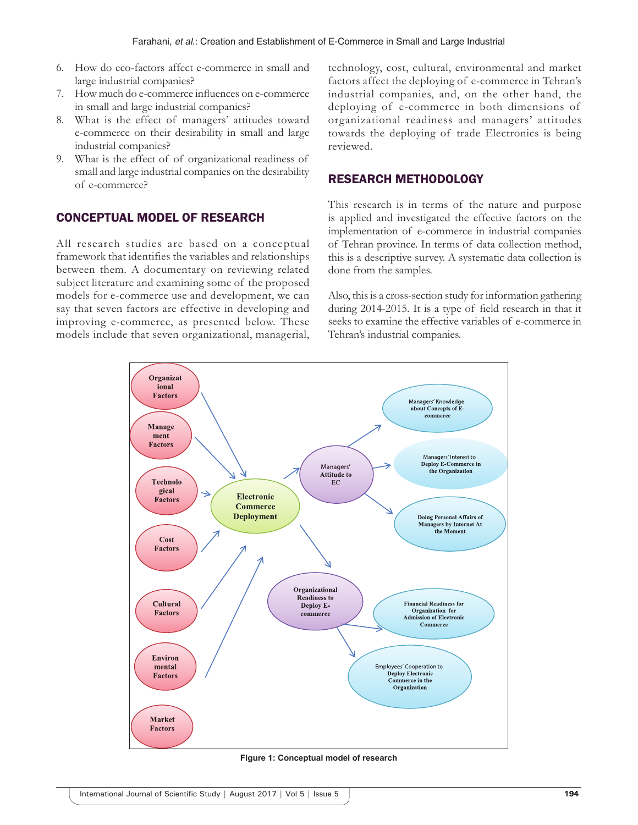- 6. How do eco-factors affect e-commerce in small and large industrial companies?
- 7. How much do e-commerce influences on e-commerce in small and large industrial companies?
- 8. What is the effect of managers' attitudes toward e-commerce on their desirability in small and large industrial companies?
- 9. What is the effect of of organizational readiness of small and large industrial companies on the desirability of e-commerce?

# CONCEPTUAL MODEL OF RESEARCH

All research studies are based on a conceptual framework that identifies the variables and relationships between them. A documentary on reviewing related subject literature and examining some of the proposed models for e-commerce use and development, we can say that seven factors are effective in developing and improving e-commerce, as presented below. These models include that seven organizational, managerial, technology, cost, cultural, environmental and market factors affect the deploying of e-commerce in Tehran's industrial companies, and, on the other hand, the deploying of e-commerce in both dimensions of organizational readiness and managers' attitudes towards the deploying of trade Electronics is being reviewed.

# RESEARCH METHODOLOGY

This research is in terms of the nature and purpose is applied and investigated the effective factors on the implementation of e-commerce in industrial companies of Tehran province. In terms of data collection method, this is a descriptive survey. A systematic data collection is done from the samples.

Also, this is a cross-section study for information gathering during 2014-2015. It is a type of field research in that it seeks to examine the effective variables of e-commerce in Tehran's industrial companies.



**Figure 1: Conceptual model of research**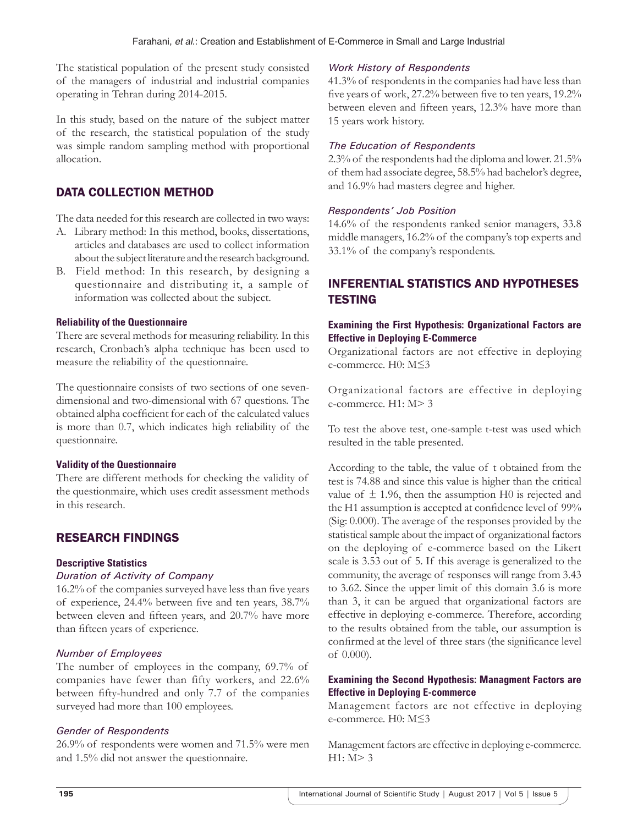The statistical population of the present study consisted of the managers of industrial and industrial companies operating in Tehran during 2014-2015.

In this study, based on the nature of the subject matter of the research, the statistical population of the study was simple random sampling method with proportional allocation.

# DATA COLLECTION METHOD

The data needed for this research are collected in two ways:

- A. Library method: In this method, books, dissertations, articles and databases are used to collect information about the subject literature and the research background.
- B. Field method: In this research, by designing a questionnaire and distributing it, a sample of information was collected about the subject.

#### **Reliability of the Questionnaire**

There are several methods for measuring reliability. In this research, Cronbach's alpha technique has been used to measure the reliability of the questionnaire.

The questionnaire consists of two sections of one sevendimensional and two-dimensional with 67 questions. The obtained alpha coefficient for each of the calculated values is more than 0.7, which indicates high reliability of the questionnaire.

#### **Validity of the Questionnaire**

There are different methods for checking the validity of the questionmaire, which uses credit assessment methods in this research.

# RESEARCH FINDINGS

#### **Descriptive Statistics**

#### *Duration of Activity of Company*

16.2% of the companies surveyed have less than five years of experience, 24.4% between five and ten years, 38.7% between eleven and fifteen years, and 20.7% have more than fifteen years of experience.

#### *Number of Employees*

The number of employees in the company, 69.7% of companies have fewer than fifty workers, and 22.6% between fifty-hundred and only 7.7 of the companies surveyed had more than 100 employees.

# *Gender of Respondents*

26.9% of respondents were women and 71.5% were men and 1.5% did not answer the questionnaire.

## *Work History of Respondents*

41.3% of respondents in the companies had have less than five years of work, 27.2% between five to ten years, 19.2% between eleven and fifteen years, 12.3% have more than 15 years work history.

## *The Education of Respondents*

2.3% of the respondents had the diploma and lower. 21.5% of them had associate degree, 58.5% had bachelor's degree, and 16.9% had masters degree and higher.

## *Respondents' Job Position*

14.6% of the respondents ranked senior managers, 33.8 middle managers, 16.2% of the company's top experts and 33.1% of the company's respondents.

# INFERENTIAL STATISTICS AND HYPOTHESES **TESTING**

## **Examining the First Hypothesis: Organizational Factors are Effective in Deploying E-Commerce**

Organizational factors are not effective in deploying e-commerce. H0: M≤3

Organizational factors are effective in deploying e-commerce. H1: M> 3

To test the above test, one-sample t-test was used which resulted in the table presented.

According to the table, the value of t obtained from the test is 74.88 and since this value is higher than the critical value of  $\pm$  1.96, then the assumption H0 is rejected and the H1 assumption is accepted at confidence level of 99% (Sig: 0.000). The average of the responses provided by the statistical sample about the impact of organizational factors on the deploying of e-commerce based on the Likert scale is 3.53 out of 5. If this average is generalized to the community, the average of responses will range from 3.43 to 3.62. Since the upper limit of this domain 3.6 is more than 3, it can be argued that organizational factors are effective in deploying e-commerce. Therefore, according to the results obtained from the table, our assumption is confirmed at the level of three stars (the significance level of 0.000).

# **Examining the Second Hypothesis: Managment Factors are Effective in Deploying E-commerce**

Management factors are not effective in deploying e-commerce. H0: M≤3

Management factors are effective in deploying e-commerce.  $H1: M > 3$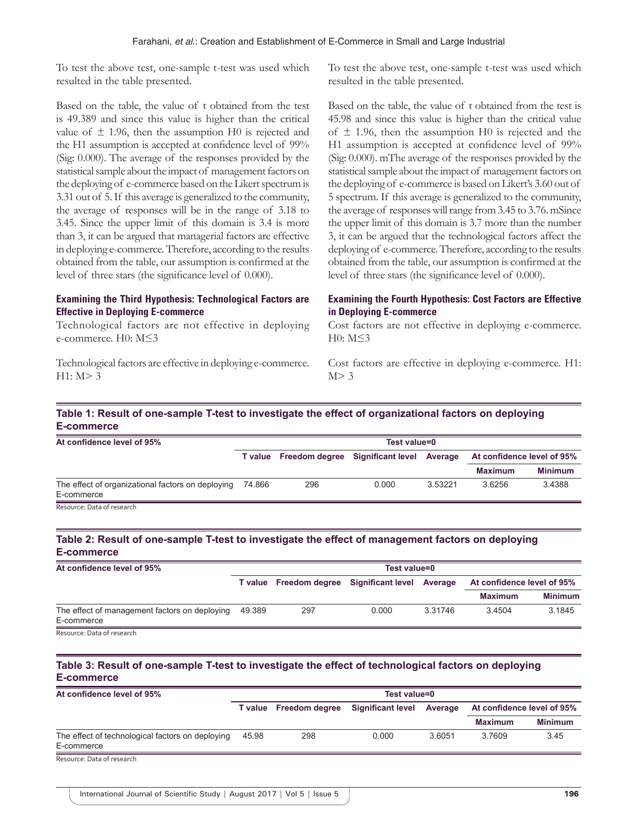To test the above test, one-sample t-test was used which resulted in the table presented.

Based on the table, the value of t obtained from the test is 49.389 and since this value is higher than the critical value of  $\pm$  1.96, then the assumption H0 is rejected and the H1 assumption is accepted at confidence level of 99% (Sig: 0.000). The average of the responses provided by the statistical sample about the impact of management factors on the deploying of e-commerce based on the Likert spectrum is 3.31 out of 5. If this average is generalized to the community, the average of responses will be in the range of 3.18 to 3.45. Since the upper limit of this domain is 3.4 is more than 3, it can be argued that managerial factors are effective in deploying e-commerce. Therefore, according to the results obtained from the table, our assumption is confirmed at the level of three stars (the significance level of 0.000).

## **Examining the Third Hypothesis: Technological Factors are Effective in Deploying E-commerce**

Technological factors are not effective in deploying e-commerce. H0: M≤3

Technological factors are effective in deploying e-commerce.  $H1: M > 3$ 

To test the above test, one-sample t-test was used which resulted in the table presented.

Based on the table, the value of t obtained from the test is 45.98 and since this value is higher than the critical value of  $\pm$  1.96, then the assumption H0 is rejected and the H1 assumption is accepted at confidence level of 99% (Sig: 0.000). mThe average of the responses provided by the statistical sample about the impact of management factors on the deploying of e-commerce is based on Likert's 3.60 out of 5 spectrum. If this average is generalized to the community, the average of responses will range from 3.45 to 3.76. mSince the upper limit of this domain is 3.7 more than the number 3, it can be argued that the technological factors affect the deploying of e-commerce. Therefore, according to the results obtained from the table, our assumption is confirmed at the level of three stars (the significance level of 0.000).

## **Examining the Fourth Hypothesis: Cost Factors are Effective in Deploying E-commerce**

Cost factors are not effective in deploying e-commerce. H0: M≤3

Cost factors are effective in deploying e-commerce. H1:  $M > 3$ 

# **Table 1: Result of one‑sample T‑test to investigate the effect of organizational factors on deploying E‑commerce**

| At confidence level of 95%                                      | Test value=0 |                                                  |       |         |                            |                |  |
|-----------------------------------------------------------------|--------------|--------------------------------------------------|-------|---------|----------------------------|----------------|--|
|                                                                 |              | T value Freedom degree Significant level Average |       |         | At confidence level of 95% |                |  |
|                                                                 |              |                                                  |       |         | <b>Maximum</b>             | <b>Minimum</b> |  |
| The effect of organizational factors on deploying<br>E-commerce | 74.866       | 296                                              | 0.000 | 3.53221 | 3.6256                     | 3.4388         |  |

# **Table 2: Result of one‑sample T‑test to investigate the effect of management factors on deploying E‑commerce**

| At confidence level of 95%                                  | Test value=0 |                                                  |       |         |                            |                |  |
|-------------------------------------------------------------|--------------|--------------------------------------------------|-------|---------|----------------------------|----------------|--|
|                                                             |              | T value Freedom degree Significant level Average |       |         | At confidence level of 95% |                |  |
|                                                             |              |                                                  |       |         | <b>Maximum</b>             | <b>Minimum</b> |  |
| The effect of management factors on deploying<br>E-commerce | 49.389       | 297                                              | 0.000 | 3.31746 | 3.4504                     | 3.1845         |  |
| Resource: Data of research                                  |              |                                                  |       |         |                            |                |  |

# **Table 3: Result of one‑sample T‑test to investigate the effect of technological factors on deploying E‑commerce**

| At confidence level of 95%                                     | Test value=0 |                        |                   |         |                            |                |  |
|----------------------------------------------------------------|--------------|------------------------|-------------------|---------|----------------------------|----------------|--|
|                                                                |              | T value Freedom degree | Significant level | Average | At confidence level of 95% |                |  |
|                                                                |              |                        |                   |         | <b>Maximum</b>             | <b>Minimum</b> |  |
| The effect of technological factors on deploying<br>E-commerce | 45.98        | 298                    | 0.000             | 3.6051  | 3.7609                     | 3.45           |  |
| Resource: Data of research                                     |              |                        |                   |         |                            |                |  |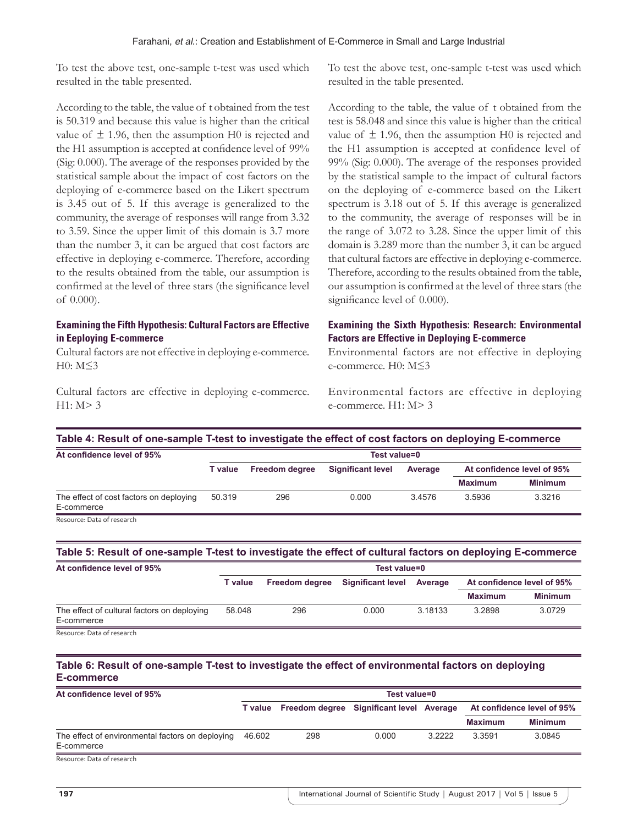To test the above test, one-sample t-test was used which resulted in the table presented.

According to the table, the value of t obtained from the test is 50.319 and because this value is higher than the critical value of  $\pm$  1.96, then the assumption H0 is rejected and the H1 assumption is accepted at confidence level of 99% (Sig: 0.000). The average of the responses provided by the statistical sample about the impact of cost factors on the deploying of e-commerce based on the Likert spectrum is 3.45 out of 5. If this average is generalized to the community, the average of responses will range from 3.32 to 3.59. Since the upper limit of this domain is 3.7 more than the number 3, it can be argued that cost factors are effective in deploying e-commerce. Therefore, according to the results obtained from the table, our assumption is confirmed at the level of three stars (the significance level of 0.000).

# **Examining the Fifth Hypothesis: Cultural Factors are Effective in Eeploying E-commerce**

Cultural factors are not effective in deploying e-commerce. H0: M≤3

Cultural factors are effective in deploying e-commerce.  $H1: M > 3$ 

To test the above test, one-sample t-test was used which resulted in the table presented.

According to the table, the value of t obtained from the test is 58.048 and since this value is higher than the critical value of  $\pm$  1.96, then the assumption H0 is rejected and the H1 assumption is accepted at confidence level of 99% (Sig: 0.000). The average of the responses provided by the statistical sample to the impact of cultural factors on the deploying of e-commerce based on the Likert spectrum is 3.18 out of 5. If this average is generalized to the community, the average of responses will be in the range of 3.072 to 3.28. Since the upper limit of this domain is 3.289 more than the number 3, it can be argued that cultural factors are effective in deploying e-commerce. Therefore, according to the results obtained from the table, our assumption is confirmed at the level of three stars (the significance level of 0.000).

# **Examining the Sixth Hypothesis: Research: Environmental Factors are Effective in Deploying E-commerce**

Environmental factors are not effective in deploying e-commerce. H0: M≤3

Environmental factors are effective in deploying e-commerce. H1: M> 3

| Table 4: Result of one-sample T-test to investigate the effect of cost factors on deploying E-commerce |                |                       |                          |         |                            |                |  |  |  |
|--------------------------------------------------------------------------------------------------------|----------------|-----------------------|--------------------------|---------|----------------------------|----------------|--|--|--|
| At confidence level of 95%                                                                             | Test value=0   |                       |                          |         |                            |                |  |  |  |
|                                                                                                        | <b>T</b> value | <b>Freedom degree</b> | <b>Significant level</b> | Average | At confidence level of 95% |                |  |  |  |
|                                                                                                        |                |                       |                          |         | <b>Maximum</b>             | <b>Minimum</b> |  |  |  |
| The effect of cost factors on deploying<br>E-commerce                                                  | 50.319         | 296                   | 0.000                    | 34576   | 3.5936                     | 3.3216         |  |  |  |

Resource: Data of research

# **Table 5: Result of one‑sample T‑test to investigate the effect of cultural factors on deploying E‑commerce**

| At confidence level of 95%                  | Test value=0 |                       |                          |         |                            |                |  |  |
|---------------------------------------------|--------------|-----------------------|--------------------------|---------|----------------------------|----------------|--|--|
|                                             | T value      | <b>Freedom degree</b> | <b>Significant level</b> | Average | At confidence level of 95% |                |  |  |
|                                             |              |                       |                          |         | <b>Maximum</b>             | <b>Minimum</b> |  |  |
| The effect of cultural factors on deploying | 58.048       | 296                   | 0.000                    | 3.18133 | 3.2898                     | 3.0729         |  |  |
| E-commerce                                  |              |                       |                          |         |                            |                |  |  |
| Resource: Data of research                  |              |                       |                          |         |                            |                |  |  |

# **Table 6: Result of one‑sample T‑test to investigate the effect of environmental factors on deploying E‑commerce**

| At confidence level of 95%                                     | Test value=0 |                                          |       |        |                |                            |  |
|----------------------------------------------------------------|--------------|------------------------------------------|-------|--------|----------------|----------------------------|--|
|                                                                | T value      | Freedom degree Significant level Average |       |        |                | At confidence level of 95% |  |
|                                                                |              |                                          |       |        | <b>Maximum</b> | <b>Minimum</b>             |  |
| The effect of environmental factors on deploying<br>E-commerce | 46.602       | 298                                      | 0.000 | 3.2222 | 3.3591         | 3.0845                     |  |
| Bocourco, Data of rocoarch                                     |              |                                          |       |        |                |                            |  |

ource: Data of research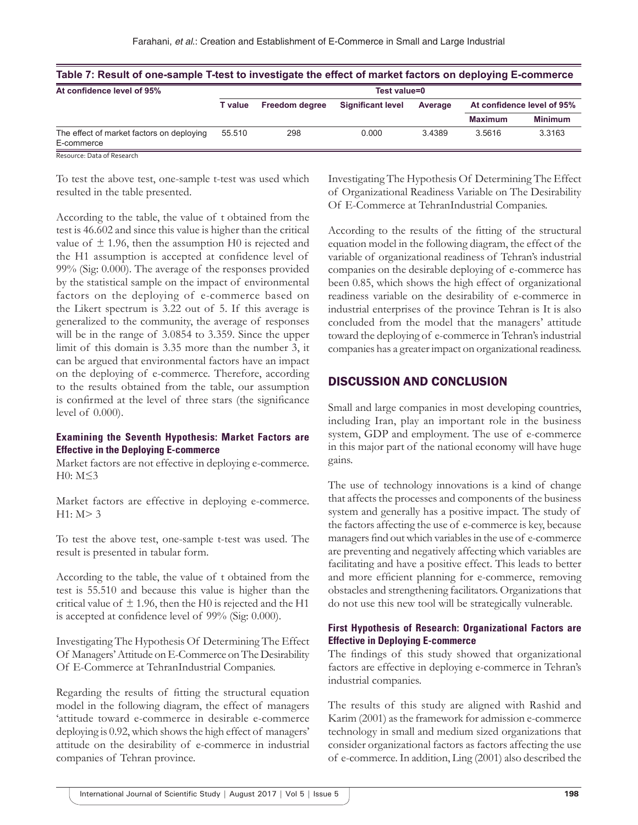| Table 7: Result of one-sample T-test to investigate the effect of market factors on deploying E-commerce |                       |                          |         |                            |                |  |  |  |  |
|----------------------------------------------------------------------------------------------------------|-----------------------|--------------------------|---------|----------------------------|----------------|--|--|--|--|
| Test value=0                                                                                             |                       |                          |         |                            |                |  |  |  |  |
| T value                                                                                                  | <b>Freedom dearee</b> | <b>Significant level</b> | Average | At confidence level of 95% |                |  |  |  |  |
|                                                                                                          |                       |                          |         | <b>Maximum</b>             | <b>Minimum</b> |  |  |  |  |
| 55.510                                                                                                   | 298                   | 0.000                    | 34389   | 3.5616                     | 3.3163         |  |  |  |  |
|                                                                                                          |                       |                          |         |                            |                |  |  |  |  |

Resource: Data of Research

To test the above test, one-sample t-test was used which resulted in the table presented.

According to the table, the value of t obtained from the test is 46.602 and since this value is higher than the critical value of  $\pm$  1.96, then the assumption H0 is rejected and the H1 assumption is accepted at confidence level of 99% (Sig: 0.000). The average of the responses provided by the statistical sample on the impact of environmental factors on the deploying of e-commerce based on the Likert spectrum is 3.22 out of 5. If this average is generalized to the community, the average of responses will be in the range of 3.0854 to 3.359. Since the upper limit of this domain is 3.35 more than the number 3, it can be argued that environmental factors have an impact on the deploying of e-commerce. Therefore, according to the results obtained from the table, our assumption is confirmed at the level of three stars (the significance level of 0.000).

## **Examining the Seventh Hypothesis: Market Factors are Effective in the Deploying E-commerce**

Market factors are not effective in deploying e-commerce. H0: M≤3

Market factors are effective in deploying e-commerce.  $H1: M > 3$ 

To test the above test, one-sample t-test was used. The result is presented in tabular form.

According to the table, the value of t obtained from the test is 55.510 and because this value is higher than the critical value of  $\pm$  1.96, then the H0 is rejected and the H1 is accepted at confidence level of 99% (Sig: 0.000).

Investigating The Hypothesis Of Determining The Effect Of Managers' Attitude on E-Commerce on The Desirability Of E-Commerce at TehranIndustrial Companies.

Regarding the results of fitting the structural equation model in the following diagram, the effect of managers 'attitude toward e-commerce in desirable e-commerce deploying is 0.92, which shows the high effect of managers' attitude on the desirability of e-commerce in industrial companies of Tehran province.

Investigating The Hypothesis Of Determining The Effect of Organizational Readiness Variable on The Desirability Of E-Commerce at TehranIndustrial Companies.

According to the results of the fitting of the structural equation model in the following diagram, the effect of the variable of organizational readiness of Tehran's industrial companies on the desirable deploying of e-commerce has been 0.85, which shows the high effect of organizational readiness variable on the desirability of e-commerce in industrial enterprises of the province Tehran is It is also concluded from the model that the managers' attitude toward the deploying of e-commerce in Tehran's industrial companies has a greater impact on organizational readiness.

# DISCUSSION AND CONCLUSION

Small and large companies in most developing countries, including Iran, play an important role in the business system, GDP and employment. The use of e-commerce in this major part of the national economy will have huge gains.

The use of technology innovations is a kind of change that affects the processes and components of the business system and generally has a positive impact. The study of the factors affecting the use of e-commerce is key, because managers find out which variables in the use of e-commerce are preventing and negatively affecting which variables are facilitating and have a positive effect. This leads to better and more efficient planning for e-commerce, removing obstacles and strengthening facilitators. Organizations that do not use this new tool will be strategically vulnerable.

# **First Hypothesis of Research: Organizational Factors are Effective in Deploying E-commerce**

The findings of this study showed that organizational factors are effective in deploying e-commerce in Tehran's industrial companies.

The results of this study are aligned with Rashid and Karim (2001) as the framework for admission e-commerce technology in small and medium sized organizations that consider organizational factors as factors affecting the use of e-commerce. In addition, Ling (2001) also described the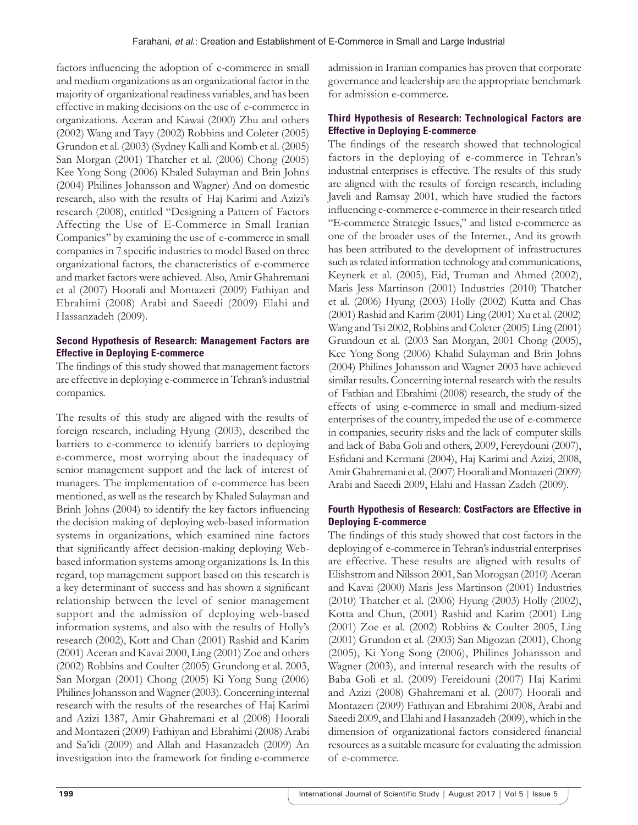factors influencing the adoption of e-commerce in small and medium organizations as an organizational factor in the majority of organizational readiness variables, and has been effective in making decisions on the use of e-commerce in organizations. Aceran and Kawai (2000) Zhu and others (2002) Wang and Tayy (2002) Robbins and Coleter (2005) Grundon et al. (2003) (Sydney Kalli and Komb et al. (2005) San Morgan (2001) Thatcher et al. (2006) Chong (2005) Kee Yong Song (2006) Khaled Sulayman and Brin Johns (2004) Philines Johansson and Wagner) And on domestic research, also with the results of Haj Karimi and Azizi's research (2008), entitled "Designing a Pattern of Factors Affecting the Use of E-Commerce in Small Iranian Companies" by examining the use of e-commerce in small companies in 7 specific industries to model Based on three organizational factors, the characteristics of e-commerce and market factors were achieved. Also, Amir Ghahremani et al (2007) Hoorali and Montazeri (2009) Fathiyan and Ebrahimi (2008) Arabi and Saeedi (2009) Elahi and Hassanzadeh (2009).

# **Second Hypothesis of Research: Management Factors are Effective in Deploying E-commerce**

The findings of this study showed that management factors are effective in deploying e-commerce in Tehran's industrial companies.

The results of this study are aligned with the results of foreign research, including Hyung (2003), described the barriers to e-commerce to identify barriers to deploying e-commerce, most worrying about the inadequacy of senior management support and the lack of interest of managers. The implementation of e-commerce has been mentioned, as well as the research by Khaled Sulayman and Brinh Johns (2004) to identify the key factors influencing the decision making of deploying web-based information systems in organizations, which examined nine factors that significantly affect decision-making deploying Webbased information systems among organizations Is. In this regard, top management support based on this research is a key determinant of success and has shown a significant relationship between the level of senior management support and the admission of deploying web-based information systems, and also with the results of Holly's research (2002), Kott and Chan (2001) Rashid and Karim (2001) Aceran and Kavai 2000, Ling (2001) Zoe and others (2002) Robbins and Coulter (2005) Grundong et al. 2003, San Morgan (2001) Chong (2005) Ki Yong Sung (2006) Philines Johansson and Wagner (2003). Concerning internal research with the results of the researches of Haj Karimi and Azizi 1387, Amir Ghahremani et al (2008) Hoorali and Montazeri (2009) Fathiyan and Ebrahimi (2008) Arabi and Sa'idi (2009) and Allah and Hasanzadeh (2009) An investigation into the framework for finding e-commerce

admission in Iranian companies has proven that corporate governance and leadership are the appropriate benchmark for admission e-commerce.

# **Third Hypothesis of Research: Technological Factors are Effective in Deploying E-commerce**

The findings of the research showed that technological factors in the deploying of e-commerce in Tehran's industrial enterprises is effective. The results of this study are aligned with the results of foreign research, including Javeli and Ramsay 2001, which have studied the factors influencing e-commerce e-commerce in their research titled "E-commerce Strategic Issues," and listed e-commerce as one of the broader uses of the Internet., And its growth has been attributed to the development of infrastructures such as related information technology and communications, Keynerk et al. (2005), Eid, Truman and Ahmed (2002), Maris Jess Martinson (2001) Industries (2010) Thatcher et al. (2006) Hyung (2003) Holly (2002) Kutta and Chas (2001) Rashid and Karim (2001) Ling (2001) Xu et al. (2002) Wang and Tsi 2002, Robbins and Coleter (2005) Ling (2001) Grundoun et al. (2003 San Morgan, 2001 Chong (2005), Kee Yong Song (2006) Khalid Sulayman and Brin Johns (2004) Philines Johansson and Wagner 2003 have achieved similar results. Concerning internal research with the results of Fathian and Ebrahimi (2008) research, the study of the effects of using e-commerce in small and medium-sized enterprises of the country, impeded the use of e-commerce in companies, security risks and the lack of computer skills and lack of Baba Goli and others, 2009, Fereydouni (2007), Esfidani and Kermani (2004), Haj Karimi and Azizi, 2008, Amir Ghahremani et al. (2007) Hoorali and Montazeri (2009) Arabi and Saeedi 2009, Elahi and Hassan Zadeh (2009).

# **Fourth Hypothesis of Research: CostFactors are Effective in Deploying E-commerce**

The findings of this study showed that cost factors in the deploying of e-commerce in Tehran's industrial enterprises are effective. These results are aligned with results of Elishstrom and Nilsson 2001, San Morogsan (2010) Aceran and Kavai (2000) Maris Jess Martinson (2001) Industries (2010) Thatcher et al. (2006) Hyung (2003) Holly (2002), Kotta and Chun, (2001) Rashid and Karim (2001) Ling (2001) Zoe et al. (2002) Robbins & Coulter 2005, Ling (2001) Grundon et al. (2003) San Migozan (2001), Chong (2005), Ki Yong Song (2006), Philines Johansson and Wagner (2003), and internal research with the results of Baba Goli et al. (2009) Fereidouni (2007) Haj Karimi and Azizi (2008) Ghahremani et al. (2007) Hoorali and Montazeri (2009) Fathiyan and Ebrahimi 2008, Arabi and Saeedi 2009, and Elahi and Hasanzadeh (2009), which in the dimension of organizational factors considered financial resources as a suitable measure for evaluating the admission of e-commerce.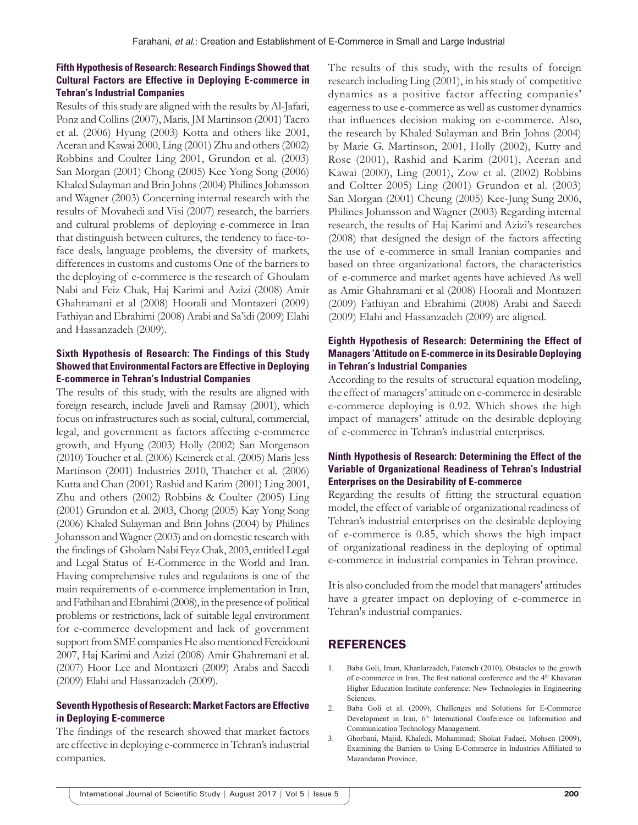## **Fifth Hypothesis of Research: Research Findings Showed that Cultural Factors are Effective in Deploying E-commerce in Tehran's Industrial Companies**

Results of this study are aligned with the results by Al-Jafari, Ponz and Collins (2007), Maris, JM Martinson (2001) Tacro et al. (2006) Hyung (2003) Kotta and others like 2001, Aceran and Kawai 2000, Ling (2001) Zhu and others (2002) Robbins and Coulter Ling 2001, Grundon et al. (2003) San Morgan (2001) Chong (2005) Kee Yong Song (2006) Khaled Sulayman and Brin Johns (2004) Philines Johansson and Wagner (2003) Concerning internal research with the results of Movahedi and Visi (2007) research, the barriers and cultural problems of deploying e-commerce in Iran that distinguish between cultures, the tendency to face-toface deals, language problems, the diversity of markets, differences in customs and customs One of the barriers to the deploying of e-commerce is the research of Ghoulam Nabi and Feiz Chak, Haj Karimi and Azizi (2008) Amir Ghahramani et al (2008) Hoorali and Montazeri (2009) Fathiyan and Ebrahimi (2008) Arabi and Sa'idi (2009) Elahi and Hassanzadeh (2009).

## **Sixth Hypothesis of Research: The Findings of this Study Showed that Environmental Factors are Effective in Deploying E-commerce in Tehran's Industrial Companies**

The results of this study, with the results are aligned with foreign research, include Javeli and Ramsay (2001), which focus on infrastructures such as social, cultural, commercial, legal, and government as factors affecting e-commerce growth, and Hyung (2003) Holly (2002) San Morgenson (2010) Toucher et al. (2006) Keinerck et al. (2005) Maris Jess Martinson (2001) Industries 2010, Thatcher et al. (2006) Kutta and Chan (2001) Rashid and Karim (2001) Ling 2001, Zhu and others (2002) Robbins & Coulter (2005) Ling (2001) Grundon et al. 2003, Chong (2005) Kay Yong Song (2006) Khaled Sulayman and Brin Johns (2004) by Philines Johansson and Wagner (2003) and on domestic research with the findings of Gholam Nabi Feyz Chak, 2003, entitled Legal and Legal Status of E-Commerce in the World and Iran. Having comprehensive rules and regulations is one of the main requirements of e-commerce implementation in Iran, and Fathihan and Ebrahimi (2008), in the presence of political problems or restrictions, lack of suitable legal environment for e-commerce development and lack of government support from SME companies He also mentioned Fereidouni 2007, Haj Karimi and Azizi (2008) Amir Ghahremani et al. (2007) Hoor Lee and Montazeri (2009) Arabs and Saeedi (2009) Elahi and Hassanzadeh (2009).

#### **Seventh Hypothesis of Research: Market Factors are Effective in Deploying E-commerce**

The findings of the research showed that market factors are effective in deploying e-commerce in Tehran's industrial companies.

The results of this study, with the results of foreign research including Ling (2001), in his study of competitive dynamics as a positive factor affecting companies' eagerness to use e-commerce as well as customer dynamics that influences decision making on e-commerce. Also, the research by Khaled Sulayman and Brin Johns (2004) by Marie G. Martinson, 2001, Holly (2002), Kutty and Rose (2001), Rashid and Karim (2001), Aceran and Kawai (2000), Ling (2001), Zow et al. (2002) Robbins and Coltter 2005) Ling (2001) Grundon et al. (2003) San Morgan (2001) Cheung (2005) Kee-Jung Sung 2006, Philines Johansson and Wagner (2003) Regarding internal research, the results of Haj Karimi and Azizi's researches (2008) that designed the design of the factors affecting the use of e-commerce in small Iranian companies and based on three organizational factors, the characteristics of e-commerce and market agents have achieved As well as Amir Ghahramani et al (2008) Hoorali and Montazeri (2009) Fathiyan and Ebrahimi (2008) Arabi and Saeedi (2009) Elahi and Hassanzadeh (2009) are aligned.

## **Eighth Hypothesis of Research: Determining the Effect of Managers 'Attitude on E-commerce in its Desirable Deploying in Tehran's Industrial Companies**

According to the results of structural equation modeling, the effect of managers' attitude on e-commerce in desirable e-commerce deploying is 0.92. Which shows the high impact of managers' attitude on the desirable deploying of e-commerce in Tehran's industrial enterprises.

## **Ninth Hypothesis of Research: Determining the Effect of the Variable of Organizational Readiness of Tehran's Industrial Enterprises on the Desirability of E-commerce**

Regarding the results of fitting the structural equation model, the effect of variable of organizational readiness of Tehran's industrial enterprises on the desirable deploying of e-commerce is 0.85, which shows the high impact of organizational readiness in the deploying of optimal e-commerce in industrial companies in Tehran province.

It is also concluded from the model that managers' attitudes have a greater impact on deploying of e-commerce in Tehran's industrial companies.

# REFERENCES

- 1. Baba Goli, Iman, Khanlarzadeh, Fatemeh (2010), Obstacles to the growth of e-commerce in Iran, The first national conference and the 4<sup>th</sup> Khavaran Higher Education Institute conference: New Technologies in Engineering Sciences.
- 2. Baba Goli et al. (2009), Challenges and Solutions for E-Commerce Development in Iran, 6<sup>th</sup> International Conference on Information and Communication Technology Management.
- 3. Ghorbani, Majid, Khaledi, Mohammad; Shokat Fadaei, Mohsen (2009), Examining the Barriers to Using E-Commerce in Industries Affiliated to Mazandaran Province,